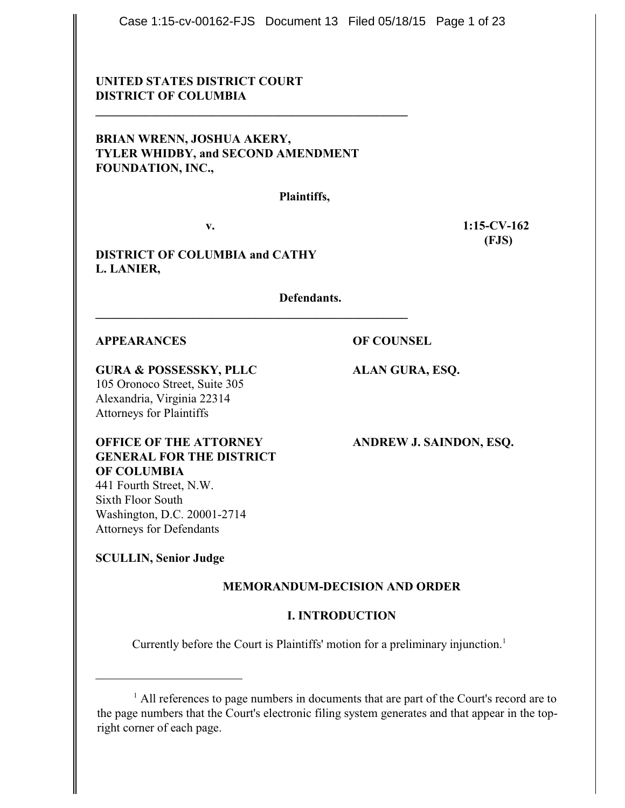Case 1:15-cv-00162-FJS Document 13 Filed 05/18/15 Page 1 of 23

# **UNITED STATES DISTRICT COURT DISTRICT OF COLUMBIA**

# **BRIAN WRENN, JOSHUA AKERY, TYLER WHIDBY, and SECOND AMENDMENT FOUNDATION, INC.,**

**\_\_\_\_\_\_\_\_\_\_\_\_\_\_\_\_\_\_\_\_\_\_\_\_\_\_\_\_\_\_\_\_\_\_\_\_\_\_\_\_\_\_\_\_\_\_\_\_\_\_\_**

**\_\_\_\_\_\_\_\_\_\_\_\_\_\_\_\_\_\_\_\_\_\_\_\_\_\_\_\_\_\_\_\_\_\_\_\_\_\_\_\_\_\_\_\_\_\_\_\_\_\_\_**

**Plaintiffs,**

**v. 1:15-CV-162 (FJS)**

**DISTRICT OF COLUMBIA and CATHY L. LANIER,** 

**Defendants.**

#### **APPEARANCES OF COUNSEL**

**GURA & POSSESSKY, PLLC ALAN GURA, ESQ.**

105 Oronoco Street, Suite 305 Alexandria, Virginia 22314 Attorneys for Plaintiffs

**OFFICE OF THE ATTORNEY ANDREW J. SAINDON, ESQ. GENERAL FOR THE DISTRICT OF COLUMBIA** 441 Fourth Street, N.W. Sixth Floor South

Washington, D.C. 20001-2714 Attorneys for Defendants

# **SCULLIN, Senior Judge**

# **MEMORANDUM-DECISION AND ORDER**

# **I. INTRODUCTION**

Currently before the Court is Plaintiffs' motion for a preliminary injunction.<sup>1</sup>

 $<sup>1</sup>$  All references to page numbers in documents that are part of the Court's record are to</sup> the page numbers that the Court's electronic filing system generates and that appear in the topright corner of each page.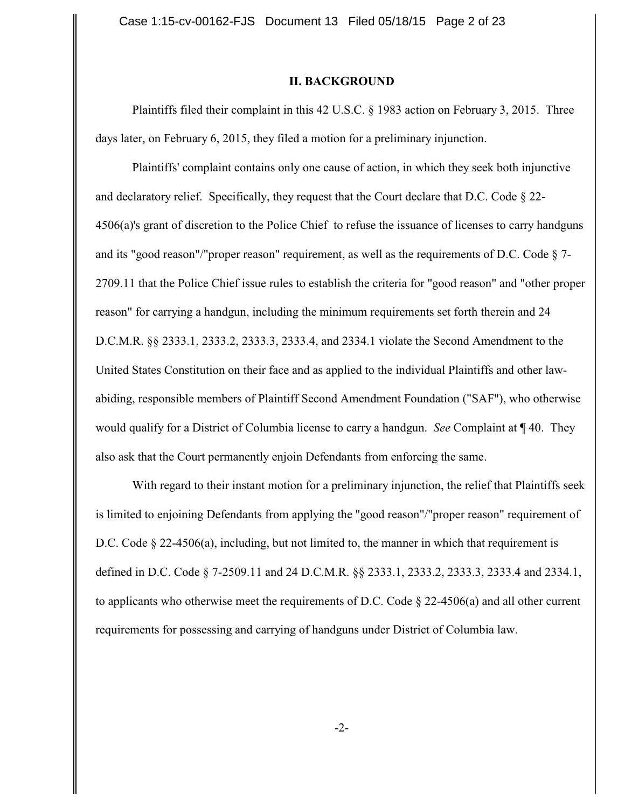#### **II. BACKGROUND**

Plaintiffs filed their complaint in this 42 U.S.C. § 1983 action on February 3, 2015. Three days later, on February 6, 2015, they filed a motion for a preliminary injunction.

Plaintiffs' complaint contains only one cause of action, in which they seek both injunctive and declaratory relief. Specifically, they request that the Court declare that D.C. Code § 22- 4506(a)'s grant of discretion to the Police Chief to refuse the issuance of licenses to carry handguns and its "good reason"/"proper reason" requirement, as well as the requirements of D.C. Code § 7- 2709.11 that the Police Chief issue rules to establish the criteria for "good reason" and "other proper reason" for carrying a handgun, including the minimum requirements set forth therein and 24 D.C.M.R. §§ 2333.1, 2333.2, 2333.3, 2333.4, and 2334.1 violate the Second Amendment to the United States Constitution on their face and as applied to the individual Plaintiffs and other lawabiding, responsible members of Plaintiff Second Amendment Foundation ("SAF"), who otherwise would qualify for a District of Columbia license to carry a handgun. *See* Complaint at ¶ 40. They also ask that the Court permanently enjoin Defendants from enforcing the same.

With regard to their instant motion for a preliminary injunction, the relief that Plaintiffs seek is limited to enjoining Defendants from applying the "good reason"/"proper reason" requirement of D.C. Code § 22-4506(a), including, but not limited to, the manner in which that requirement is defined in D.C. Code § 7-2509.11 and 24 D.C.M.R. §§ 2333.1, 2333.2, 2333.3, 2333.4 and 2334.1, to applicants who otherwise meet the requirements of D.C. Code  $\S 22-4506(a)$  and all other current requirements for possessing and carrying of handguns under District of Columbia law.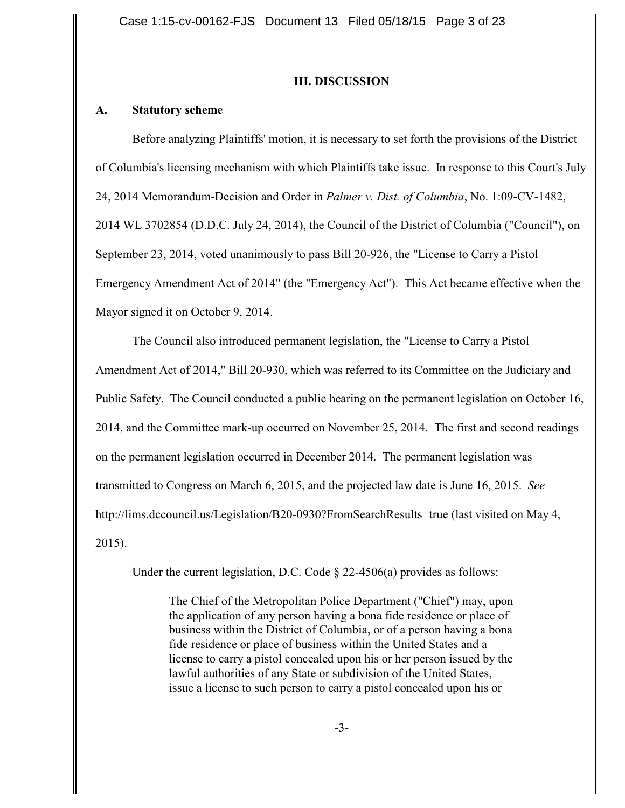### **III. DISCUSSION**

### **A. Statutory scheme**

Before analyzing Plaintiffs' motion, it is necessary to set forth the provisions of the District of Columbia's licensing mechanism with which Plaintiffs take issue. In response to this Court's July 24, 2014 Memorandum-Decision and Order in *Palmer v. Dist. of Columbia*, No. 1:09-CV-1482, 2014 WL 3702854 (D.D.C. July 24, 2014), the Council of the District of Columbia ("Council"), on September 23, 2014, voted unanimously to pass Bill 20-926, the "License to Carry a Pistol Emergency Amendment Act of 2014" (the "Emergency Act"). This Act became effective when the Mayor signed it on October 9, 2014.

The Council also introduced permanent legislation, the "License to Carry a Pistol Amendment Act of 2014," Bill 20-930, which was referred to its Committee on the Judiciary and Public Safety. The Council conducted a public hearing on the permanent legislation on October 16, 2014, and the Committee mark-up occurred on November 25, 2014. The first and second readings on the permanent legislation occurred in December 2014. The permanent legislation was transmitted to Congress on March 6, 2015, and the projected law date is June 16, 2015. *See* http://lims.dccouncil.us/Legislation/B20-0930?FromSearchResults true (last visited on May 4, 2015).

Under the current legislation, D.C. Code  $\S$  22-4506(a) provides as follows:

The Chief of the Metropolitan Police Department ("Chief") may, upon the application of any person having a bona fide residence or place of business within the District of Columbia, or of a person having a bona fide residence or place of business within the United States and a license to carry a pistol concealed upon his or her person issued by the lawful authorities of any State or subdivision of the United States, issue a license to such person to carry a pistol concealed upon his or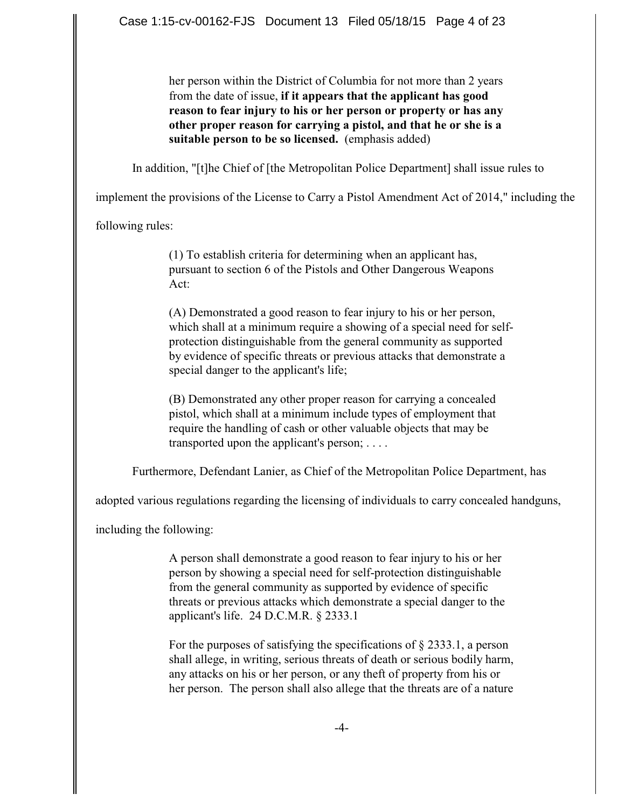her person within the District of Columbia for not more than 2 years from the date of issue, **if it appears that the applicant has good reason to fear injury to his or her person or property or has any other proper reason for carrying a pistol, and that he or she is a suitable person to be so licensed.** (emphasis added)

In addition, "[t]he Chief of [the Metropolitan Police Department] shall issue rules to

implement the provisions of the License to Carry a Pistol Amendment Act of 2014," including the

following rules:

(1) To establish criteria for determining when an applicant has, pursuant to section 6 of the Pistols and Other Dangerous Weapons Act:

(A) Demonstrated a good reason to fear injury to his or her person, which shall at a minimum require a showing of a special need for selfprotection distinguishable from the general community as supported by evidence of specific threats or previous attacks that demonstrate a special danger to the applicant's life;

(B) Demonstrated any other proper reason for carrying a concealed pistol, which shall at a minimum include types of employment that require the handling of cash or other valuable objects that may be transported upon the applicant's person; . . . .

Furthermore, Defendant Lanier, as Chief of the Metropolitan Police Department, has

adopted various regulations regarding the licensing of individuals to carry concealed handguns,

including the following:

A person shall demonstrate a good reason to fear injury to his or her person by showing a special need for self-protection distinguishable from the general community as supported by evidence of specific threats or previous attacks which demonstrate a special danger to the applicant's life. 24 D.C.M.R. § 2333.1

For the purposes of satisfying the specifications of § 2333.1, a person shall allege, in writing, serious threats of death or serious bodily harm, any attacks on his or her person, or any theft of property from his or her person. The person shall also allege that the threats are of a nature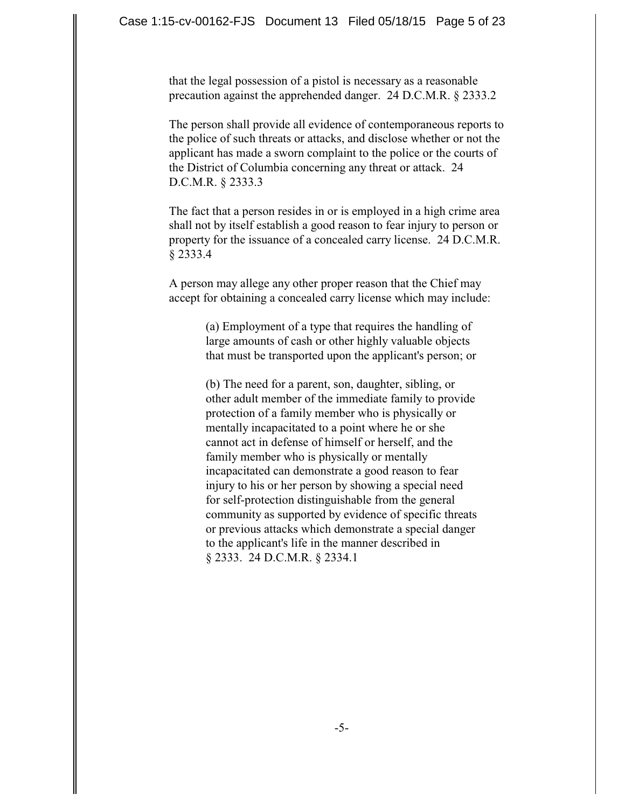that the legal possession of a pistol is necessary as a reasonable precaution against the apprehended danger. 24 D.C.M.R. § 2333.2

The person shall provide all evidence of contemporaneous reports to the police of such threats or attacks, and disclose whether or not the applicant has made a sworn complaint to the police or the courts of the District of Columbia concerning any threat or attack. 24 D.C.M.R. § 2333.3

The fact that a person resides in or is employed in a high crime area shall not by itself establish a good reason to fear injury to person or property for the issuance of a concealed carry license. 24 D.C.M.R. § 2333.4

A person may allege any other proper reason that the Chief may accept for obtaining a concealed carry license which may include:

> (a) Employment of a type that requires the handling of large amounts of cash or other highly valuable objects that must be transported upon the applicant's person; or

> (b) The need for a parent, son, daughter, sibling, or other adult member of the immediate family to provide protection of a family member who is physically or mentally incapacitated to a point where he or she cannot act in defense of himself or herself, and the family member who is physically or mentally incapacitated can demonstrate a good reason to fear injury to his or her person by showing a special need for self-protection distinguishable from the general community as supported by evidence of specific threats or previous attacks which demonstrate a special danger to the applicant's life in the manner described in § 2333. 24 D.C.M.R. § 2334.1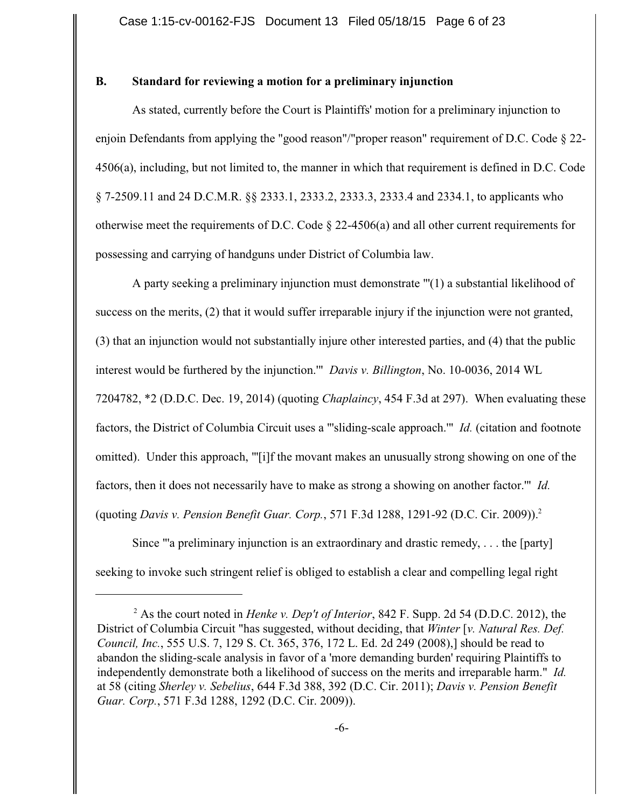# **B. Standard for reviewing a motion for a preliminary injunction**

As stated, currently before the Court is Plaintiffs' motion for a preliminary injunction to enjoin Defendants from applying the "good reason"/"proper reason" requirement of D.C. Code § 22- 4506(a), including, but not limited to, the manner in which that requirement is defined in D.C. Code § 7-2509.11 and 24 D.C.M.R. §§ 2333.1, 2333.2, 2333.3, 2333.4 and 2334.1, to applicants who otherwise meet the requirements of D.C. Code  $\S$  22-4506(a) and all other current requirements for possessing and carrying of handguns under District of Columbia law.

A party seeking a preliminary injunction must demonstrate "'(1) a substantial likelihood of success on the merits, (2) that it would suffer irreparable injury if the injunction were not granted, (3) that an injunction would not substantially injure other interested parties, and (4) that the public interest would be furthered by the injunction.'" *Davis v. Billington*, No. 10-0036, 2014 WL 7204782, \*2 (D.D.C. Dec. 19, 2014) (quoting *Chaplaincy*, 454 F.3d at 297). When evaluating these factors, the District of Columbia Circuit uses a "'sliding-scale approach.'" *Id.* (citation and footnote omitted). Under this approach, "'[i]f the movant makes an unusually strong showing on one of the factors, then it does not necessarily have to make as strong a showing on another factor.'" *Id.* (quoting *Davis v. Pension Benefit Guar. Corp.*, 571 F.3d 1288, 1291-92 (D.C. Cir. 2009)). 2

Since "'a preliminary injunction is an extraordinary and drastic remedy, . . . the [party] seeking to invoke such stringent relief is obliged to establish a clear and compelling legal right

<sup>&</sup>lt;sup>2</sup> As the court noted in *Henke v. Dep't of Interior*, 842 F. Supp. 2d 54 (D.D.C. 2012), the District of Columbia Circuit "has suggested, without deciding, that *Winter* [*v. Natural Res. Def. Council, Inc.*, 555 U.S. 7, 129 S. Ct. 365, 376, 172 L. Ed. 2d 249 (2008),] should be read to abandon the sliding-scale analysis in favor of a 'more demanding burden' requiring Plaintiffs to independently demonstrate both a likelihood of success on the merits and irreparable harm." *Id.* at 58 (citing *Sherley v. Sebelius*, 644 F.3d 388, 392 (D.C. Cir. 2011); *Davis v. Pension Benefit Guar. Corp.*, 571 F.3d 1288, 1292 (D.C. Cir. 2009)).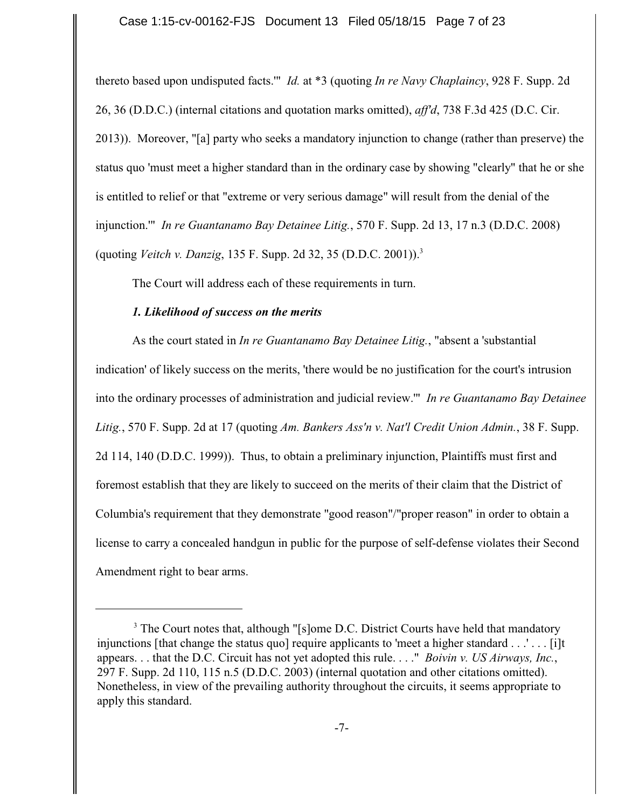thereto based upon undisputed facts.'" *Id.* at \*3 (quoting *In re Navy Chaplaincy*, 928 F. Supp. 2d 26, 36 (D.D.C.) (internal citations and quotation marks omitted), *aff'd*, 738 F.3d 425 (D.C. Cir. 2013)). Moreover, "[a] party who seeks a mandatory injunction to change (rather than preserve) the status quo 'must meet a higher standard than in the ordinary case by showing "clearly" that he or she is entitled to relief or that "extreme or very serious damage" will result from the denial of the injunction.'" *In re Guantanamo Bay Detainee Litig.*, 570 F. Supp. 2d 13, 17 n.3 (D.D.C. 2008) (quoting *Veitch v. Danzig*, 135 F. Supp. 2d 32, 35 (D.D.C. 2001)).<sup>3</sup>

The Court will address each of these requirements in turn.

# *1. Likelihood of success on the merits*

As the court stated in *In re Guantanamo Bay Detainee Litig.*, "absent a 'substantial indication' of likely success on the merits, 'there would be no justification for the court's intrusion into the ordinary processes of administration and judicial review.'" *In re Guantanamo Bay Detainee Litig.*, 570 F. Supp. 2d at 17 (quoting *Am. Bankers Ass'n v. Nat'l Credit Union Admin.*, 38 F. Supp. 2d 114, 140 (D.D.C. 1999)). Thus, to obtain a preliminary injunction, Plaintiffs must first and foremost establish that they are likely to succeed on the merits of their claim that the District of Columbia's requirement that they demonstrate "good reason"/"proper reason" in order to obtain a license to carry a concealed handgun in public for the purpose of self-defense violates their Second Amendment right to bear arms.

<sup>&</sup>lt;sup>3</sup> The Court notes that, although "[s]ome D.C. District Courts have held that mandatory injunctions [that change the status quo] require applicants to 'meet a higher standard . . . . . . . [i]t appears. . . that the D.C. Circuit has not yet adopted this rule. . . ." *Boivin v. US Airways, Inc.*, 297 F. Supp. 2d 110, 115 n.5 (D.D.C. 2003) (internal quotation and other citations omitted). Nonetheless, in view of the prevailing authority throughout the circuits, it seems appropriate to apply this standard.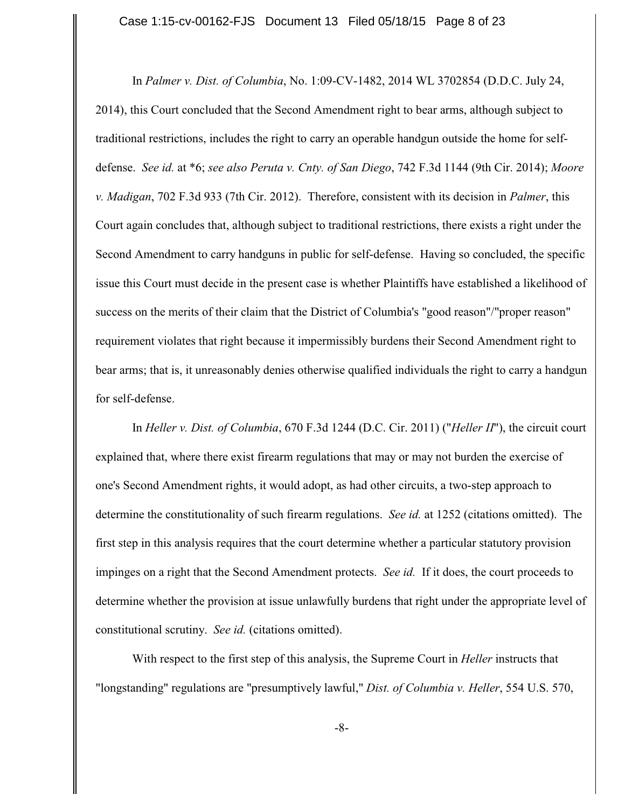In *Palmer v. Dist. of Columbia*, No. 1:09-CV-1482, 2014 WL 3702854 (D.D.C. July 24, 2014), this Court concluded that the Second Amendment right to bear arms, although subject to traditional restrictions, includes the right to carry an operable handgun outside the home for selfdefense. *See id.* at \*6; *see also Peruta v. Cnty. of San Diego*, 742 F.3d 1144 (9th Cir. 2014); *Moore v. Madigan*, 702 F.3d 933 (7th Cir. 2012). Therefore, consistent with its decision in *Palmer*, this Court again concludes that, although subject to traditional restrictions, there exists a right under the Second Amendment to carry handguns in public for self-defense. Having so concluded, the specific issue this Court must decide in the present case is whether Plaintiffs have established a likelihood of success on the merits of their claim that the District of Columbia's "good reason"/"proper reason" requirement violates that right because it impermissibly burdens their Second Amendment right to bear arms; that is, it unreasonably denies otherwise qualified individuals the right to carry a handgun for self-defense.

In *Heller v. Dist. of Columbia*, 670 F.3d 1244 (D.C. Cir. 2011) ("*Heller II*"), the circuit court explained that, where there exist firearm regulations that may or may not burden the exercise of one's Second Amendment rights, it would adopt, as had other circuits, a two-step approach to determine the constitutionality of such firearm regulations. *See id.* at 1252 (citations omitted). The first step in this analysis requires that the court determine whether a particular statutory provision impinges on a right that the Second Amendment protects. *See id.* If it does, the court proceeds to determine whether the provision at issue unlawfully burdens that right under the appropriate level of constitutional scrutiny. *See id.* (citations omitted).

With respect to the first step of this analysis, the Supreme Court in *Heller* instructs that "longstanding" regulations are "presumptively lawful," *Dist. of Columbia v. Heller*, 554 U.S. 570,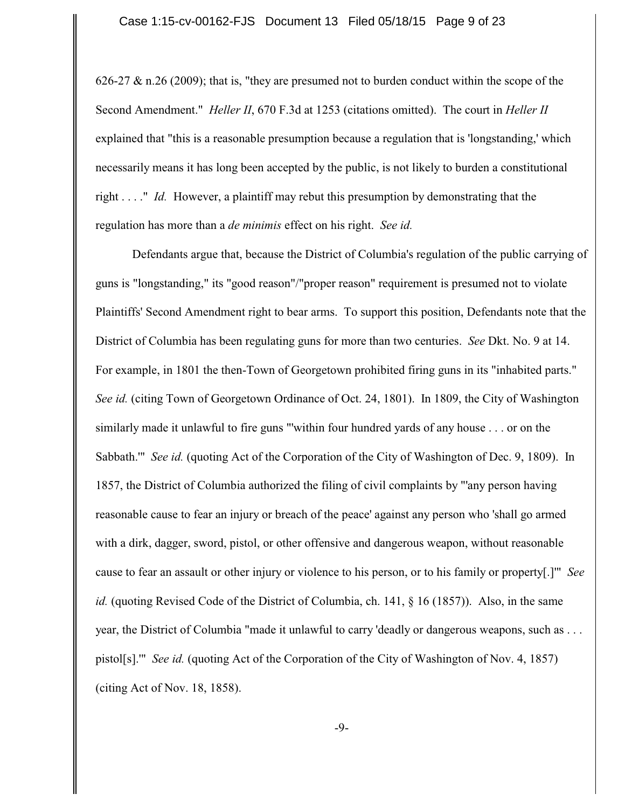626-27  $\&$  n.26 (2009); that is, "they are presumed not to burden conduct within the scope of the Second Amendment." *Heller II*, 670 F.3d at 1253 (citations omitted). The court in *Heller II* explained that "this is a reasonable presumption because a regulation that is 'longstanding,' which necessarily means it has long been accepted by the public, is not likely to burden a constitutional right . . . ." *Id.* However, a plaintiff may rebut this presumption by demonstrating that the regulation has more than a *de minimis* effect on his right. *See id.*

Defendants argue that, because the District of Columbia's regulation of the public carrying of guns is "longstanding," its "good reason"/"proper reason" requirement is presumed not to violate Plaintiffs' Second Amendment right to bear arms. To support this position, Defendants note that the District of Columbia has been regulating guns for more than two centuries. *See* Dkt. No. 9 at 14. For example, in 1801 the then-Town of Georgetown prohibited firing guns in its "inhabited parts." *See id.* (citing Town of Georgetown Ordinance of Oct. 24, 1801). In 1809, the City of Washington similarly made it unlawful to fire guns "'within four hundred yards of any house . . . or on the Sabbath.'" *See id.* (quoting Act of the Corporation of the City of Washington of Dec. 9, 1809). In 1857, the District of Columbia authorized the filing of civil complaints by "'any person having reasonable cause to fear an injury or breach of the peace' against any person who 'shall go armed with a dirk, dagger, sword, pistol, or other offensive and dangerous weapon, without reasonable cause to fear an assault or other injury or violence to his person, or to his family or property[.]'" *See id.* (quoting Revised Code of the District of Columbia, ch. 141, § 16 (1857)). Also, in the same year, the District of Columbia "made it unlawful to carry 'deadly or dangerous weapons, such as . . . pistol[s].'" *See id.* (quoting Act of the Corporation of the City of Washington of Nov. 4, 1857) (citing Act of Nov. 18, 1858).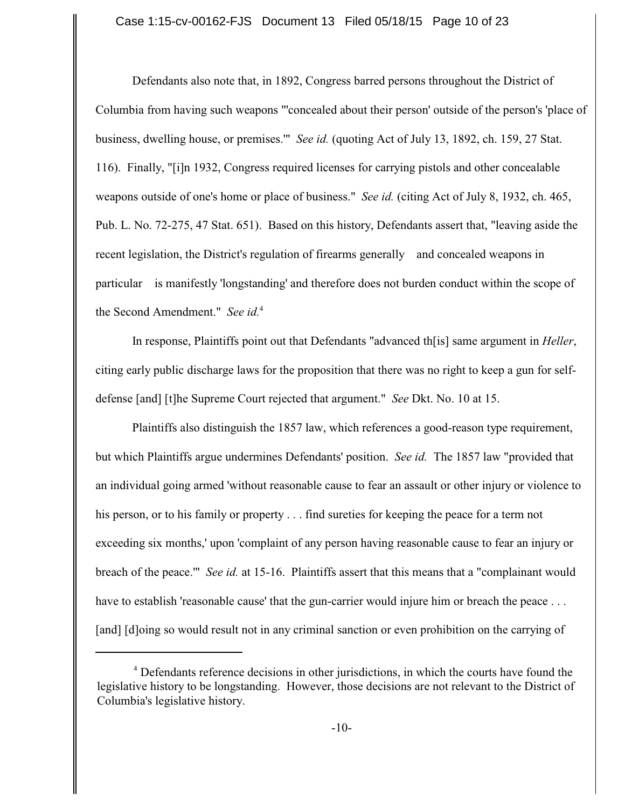Defendants also note that, in 1892, Congress barred persons throughout the District of Columbia from having such weapons "'concealed about their person' outside of the person's 'place of business, dwelling house, or premises.'" *See id.* (quoting Act of July 13, 1892, ch. 159, 27 Stat. 116). Finally, "[i]n 1932, Congress required licenses for carrying pistols and other concealable weapons outside of one's home or place of business." *See id.* (citing Act of July 8, 1932, ch. 465, Pub. L. No. 72-275, 47 Stat. 651). Based on this history, Defendants assert that, "leaving aside the recent legislation, the District's regulation of firearms generally and concealed weapons in particular is manifestly 'longstanding' and therefore does not burden conduct within the scope of the Second Amendment." See id.<sup>4</sup>

In response, Plaintiffs point out that Defendants "advanced th[is] same argument in *Heller*, citing early public discharge laws for the proposition that there was no right to keep a gun for selfdefense [and] [t]he Supreme Court rejected that argument." *See* Dkt. No. 10 at 15.

Plaintiffs also distinguish the 1857 law, which references a good-reason type requirement, but which Plaintiffs argue undermines Defendants' position. *See id.* The 1857 law "provided that an individual going armed 'without reasonable cause to fear an assault or other injury or violence to his person, or to his family or property . . . find sureties for keeping the peace for a term not exceeding six months,' upon 'complaint of any person having reasonable cause to fear an injury or breach of the peace.'" *See id.* at 15-16. Plaintiffs assert that this means that a "complainant would have to establish 'reasonable cause' that the gun-carrier would injure him or breach the peace . . . [and] [d]oing so would result not in any criminal sanction or even prohibition on the carrying of

<sup>&</sup>lt;sup>4</sup> Defendants reference decisions in other jurisdictions, in which the courts have found the legislative history to be longstanding. However, those decisions are not relevant to the District of Columbia's legislative history.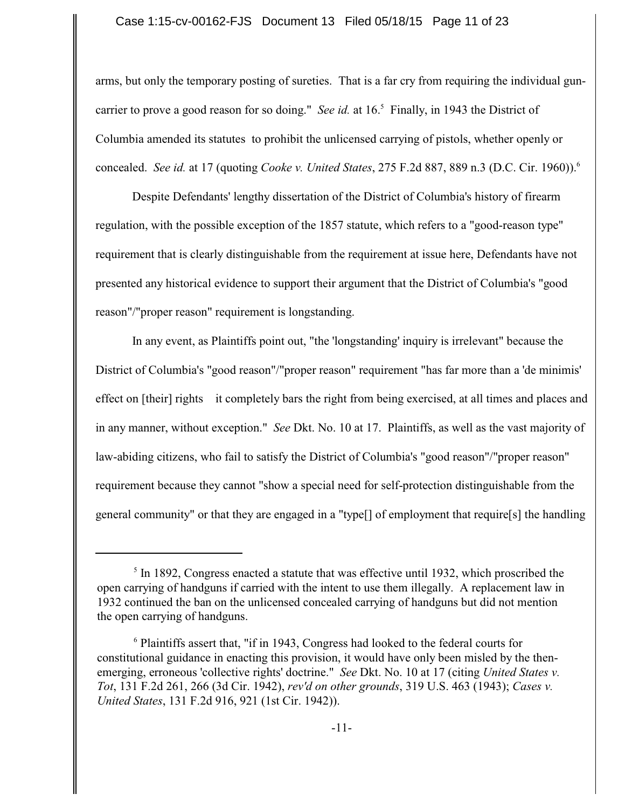#### Case 1:15-cv-00162-FJS Document 13 Filed 05/18/15 Page 11 of 23

arms, but only the temporary posting of sureties. That is a far cry from requiring the individual guncarrier to prove a good reason for so doing." *See id.* at  $16<sup>5</sup>$  Finally, in 1943 the District of Columbia amended its statutes to prohibit the unlicensed carrying of pistols, whether openly or concealed. *See id.* at 17 (quoting *Cooke v. United States*, 275 F.2d 887, 889 n.3 (D.C. Cir. 1960)). <sup>6</sup>

Despite Defendants' lengthy dissertation of the District of Columbia's history of firearm regulation, with the possible exception of the 1857 statute, which refers to a "good-reason type" requirement that is clearly distinguishable from the requirement at issue here, Defendants have not presented any historical evidence to support their argument that the District of Columbia's "good reason"/"proper reason" requirement is longstanding.

In any event, as Plaintiffs point out, "the 'longstanding' inquiry is irrelevant" because the District of Columbia's "good reason"/"proper reason" requirement "has far more than a 'de minimis' effect on [their] rights it completely bars the right from being exercised, at all times and places and in any manner, without exception." *See* Dkt. No. 10 at 17. Plaintiffs, as well as the vast majority of law-abiding citizens, who fail to satisfy the District of Columbia's "good reason"/"proper reason" requirement because they cannot "show a special need for self-protection distinguishable from the general community" or that they are engaged in a "type[] of employment that require[s] the handling

 $<sup>5</sup>$  In 1892, Congress enacted a statute that was effective until 1932, which proscribed the</sup> open carrying of handguns if carried with the intent to use them illegally. A replacement law in 1932 continued the ban on the unlicensed concealed carrying of handguns but did not mention the open carrying of handguns.

 $6$  Plaintiffs assert that, "if in 1943, Congress had looked to the federal courts for constitutional guidance in enacting this provision, it would have only been misled by the thenemerging, erroneous 'collective rights' doctrine." *See* Dkt. No. 10 at 17 (citing *United States v. Tot*, 131 F.2d 261, 266 (3d Cir. 1942), *rev'd on other grounds*, 319 U.S. 463 (1943); *Cases v. United States*, 131 F.2d 916, 921 (1st Cir. 1942)).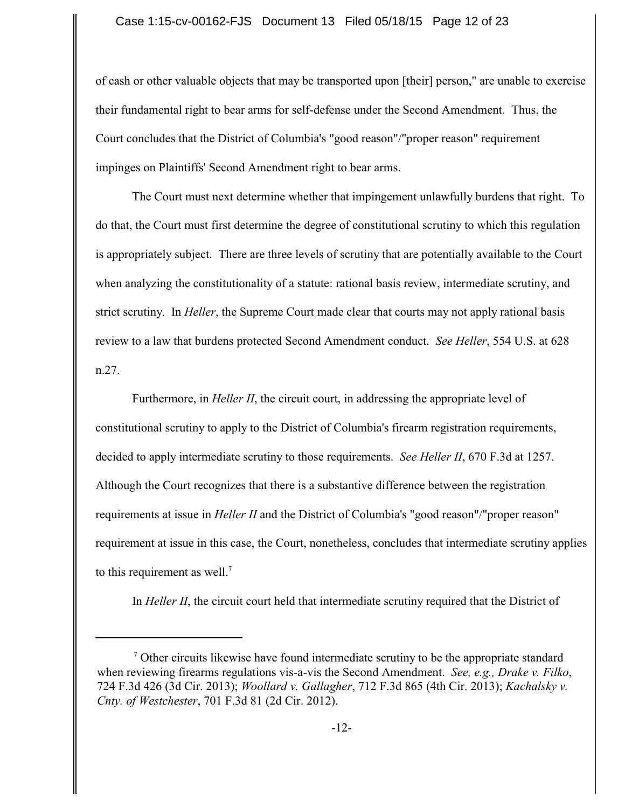of cash or other valuable objects that may be transported upon [their] person," are unable to exercise their fundamental right to bear arms for self-defense under the Second Amendment. Thus, the Court concludes that the District of Columbia's "good reason"/"proper reason" requirement impinges on Plaintiffs' Second Amendment right to bear arms.

The Court must next determine whether that impingement unlawfully burdens that right. To do that, the Court must first determine the degree of constitutional scrutiny to which this regulation is appropriately subject. There are three levels of scrutiny that are potentially available to the Court when analyzing the constitutionality of a statute: rational basis review, intermediate scrutiny, and strict scrutiny. In *Heller*, the Supreme Court made clear that courts may not apply rational basis review to a law that burdens protected Second Amendment conduct. *See Heller*, 554 U.S. at 628 n.27.

Furthermore, in *Heller II*, the circuit court, in addressing the appropriate level of constitutional scrutiny to apply to the District of Columbia's firearm registration requirements, decided to apply intermediate scrutiny to those requirements. *See Heller II*, 670 F.3d at 1257. Although the Court recognizes that there is a substantive difference between the registration requirements at issue in *Heller II* and the District of Columbia's "good reason"/"proper reason" requirement at issue in this case, the Court, nonetheless, concludes that intermediate scrutiny applies to this requirement as well.<sup>7</sup>

In *Heller II*, the circuit court held that intermediate scrutiny required that the District of

 $\alpha$ <sup>7</sup> Other circuits likewise have found intermediate scrutiny to be the appropriate standard when reviewing firearms regulations vis-a-vis the Second Amendment. *See, e.g., Drake v. Filko*, 724 F.3d 426 (3d Cir. 2013); *Woollard v. Gallagher*, 712 F.3d 865 (4th Cir. 2013); *Kachalsky v. Cnty. of Westchester*, 701 F.3d 81 (2d Cir. 2012).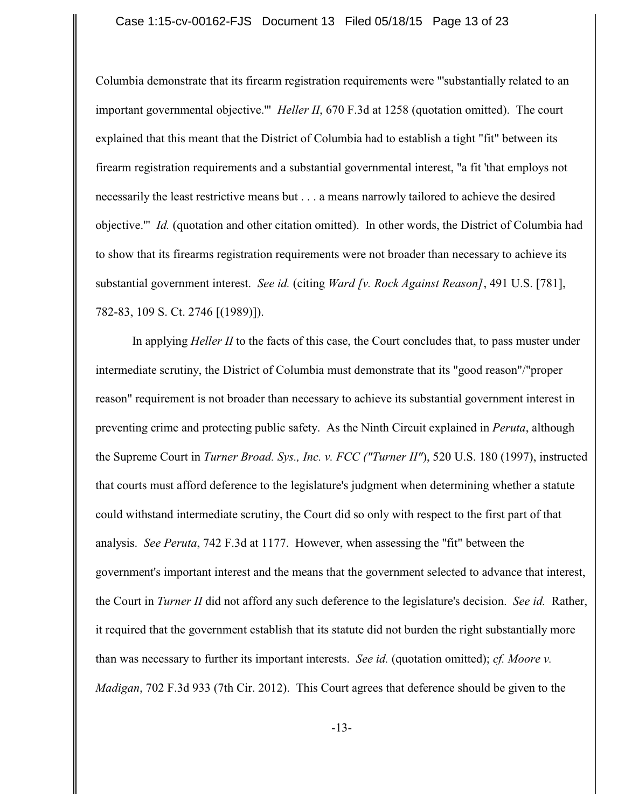Columbia demonstrate that its firearm registration requirements were "'substantially related to an important governmental objective.'" *Heller II*, 670 F.3d at 1258 (quotation omitted). The court explained that this meant that the District of Columbia had to establish a tight "fit" between its firearm registration requirements and a substantial governmental interest, "a fit 'that employs not necessarily the least restrictive means but . . . a means narrowly tailored to achieve the desired objective.'" *Id.* (quotation and other citation omitted). In other words, the District of Columbia had to show that its firearms registration requirements were not broader than necessary to achieve its substantial government interest. *See id.* (citing *Ward [v. Rock Against Reason]*, 491 U.S. [781], 782-83, 109 S. Ct. 2746 [(1989)]).

In applying *Heller II* to the facts of this case, the Court concludes that, to pass muster under intermediate scrutiny, the District of Columbia must demonstrate that its "good reason"/"proper reason" requirement is not broader than necessary to achieve its substantial government interest in preventing crime and protecting public safety. As the Ninth Circuit explained in *Peruta*, although the Supreme Court in *Turner Broad. Sys., Inc. v. FCC ("Turner II"*), 520 U.S. 180 (1997), instructed that courts must afford deference to the legislature's judgment when determining whether a statute could withstand intermediate scrutiny, the Court did so only with respect to the first part of that analysis. *See Peruta*, 742 F.3d at 1177. However, when assessing the "fit" between the government's important interest and the means that the government selected to advance that interest, the Court in *Turner II* did not afford any such deference to the legislature's decision. *See id.* Rather, it required that the government establish that its statute did not burden the right substantially more than was necessary to further its important interests. *See id.* (quotation omitted); *cf. Moore v. Madigan*, 702 F.3d 933 (7th Cir. 2012). This Court agrees that deference should be given to the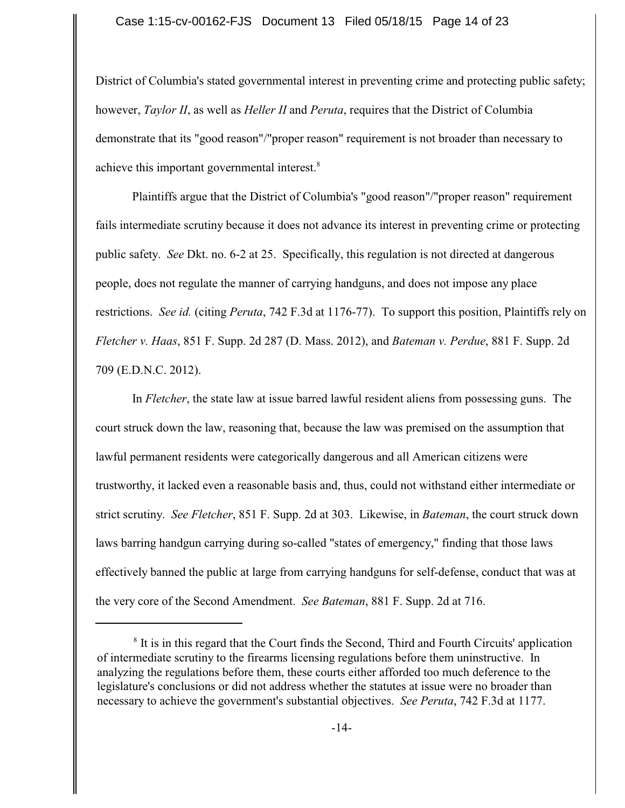District of Columbia's stated governmental interest in preventing crime and protecting public safety; however, *Taylor II*, as well as *Heller II* and *Peruta*, requires that the District of Columbia demonstrate that its "good reason"/"proper reason" requirement is not broader than necessary to achieve this important governmental interest.<sup>8</sup>

Plaintiffs argue that the District of Columbia's "good reason"/"proper reason" requirement fails intermediate scrutiny because it does not advance its interest in preventing crime or protecting public safety. *See* Dkt. no. 6-2 at 25. Specifically, this regulation is not directed at dangerous people, does not regulate the manner of carrying handguns, and does not impose any place restrictions. *See id.* (citing *Peruta*, 742 F.3d at 1176-77). To support this position, Plaintiffs rely on *Fletcher v. Haas*, 851 F. Supp. 2d 287 (D. Mass. 2012), and *Bateman v. Perdue*, 881 F. Supp. 2d 709 (E.D.N.C. 2012).

In *Fletcher*, the state law at issue barred lawful resident aliens from possessing guns. The court struck down the law, reasoning that, because the law was premised on the assumption that lawful permanent residents were categorically dangerous and all American citizens were trustworthy, it lacked even a reasonable basis and, thus, could not withstand either intermediate or strict scrutiny. *See Fletcher*, 851 F. Supp. 2d at 303. Likewise, in *Bateman*, the court struck down laws barring handgun carrying during so-called "states of emergency," finding that those laws effectively banned the public at large from carrying handguns for self-defense, conduct that was at the very core of the Second Amendment. *See Bateman*, 881 F. Supp. 2d at 716.

<sup>&</sup>lt;sup>8</sup> It is in this regard that the Court finds the Second, Third and Fourth Circuits' application of intermediate scrutiny to the firearms licensing regulations before them uninstructive. In analyzing the regulations before them, these courts either afforded too much deference to the legislature's conclusions or did not address whether the statutes at issue were no broader than necessary to achieve the government's substantial objectives. *See Peruta*, 742 F.3d at 1177.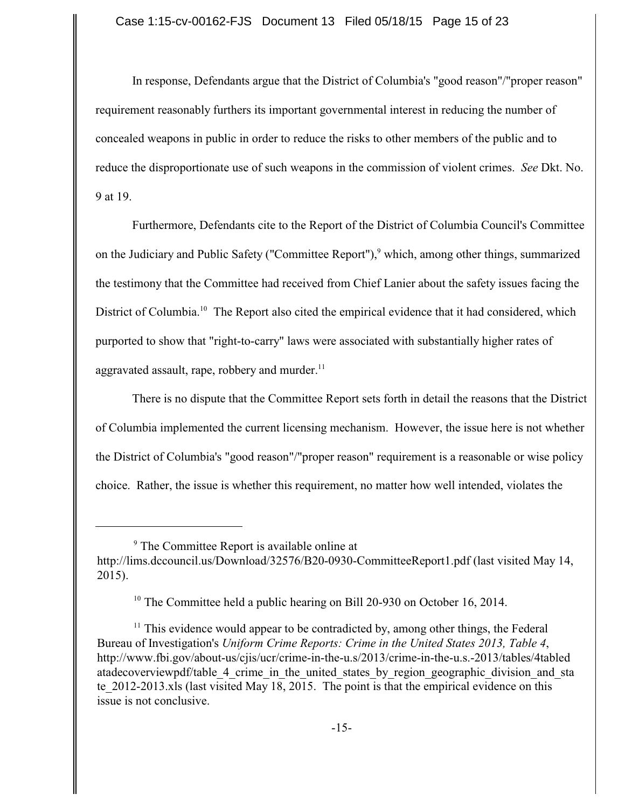In response, Defendants argue that the District of Columbia's "good reason"/"proper reason" requirement reasonably furthers its important governmental interest in reducing the number of concealed weapons in public in order to reduce the risks to other members of the public and to reduce the disproportionate use of such weapons in the commission of violent crimes. *See* Dkt. No. 9 at 19.

Furthermore, Defendants cite to the Report of the District of Columbia Council's Committee on the Judiciary and Public Safety ("Committee Report"),<sup>9</sup> which, among other things, summarized the testimony that the Committee had received from Chief Lanier about the safety issues facing the District of Columbia.<sup>10</sup> The Report also cited the empirical evidence that it had considered, which purported to show that "right-to-carry" laws were associated with substantially higher rates of aggravated assault, rape, robbery and murder. $^{11}$ 

There is no dispute that the Committee Report sets forth in detail the reasons that the District of Columbia implemented the current licensing mechanism. However, the issue here is not whether the District of Columbia's "good reason"/"proper reason" requirement is a reasonable or wise policy choice. Rather, the issue is whether this requirement, no matter how well intended, violates the

 $9$  The Committee Report is available online at http://lims.dccouncil.us/Download/32576/B20-0930-CommitteeReport1.pdf (last visited May 14, 2015).

<sup>&</sup>lt;sup>10</sup> The Committee held a public hearing on Bill 20-930 on October 16, 2014.

 $11$  This evidence would appear to be contradicted by, among other things, the Federal Bureau of Investigation's *Uniform Crime Reports: Crime in the United States 2013, Table 4*, http://www.fbi.gov/about-us/cjis/ucr/crime-in-the-u.s/2013/crime-in-the-u.s.-2013/tables/4tabled atadecoverviewpdf/table 4 crime in the united states by region geographic division and sta te 2012-2013.xls (last visited May 18, 2015. The point is that the empirical evidence on this issue is not conclusive.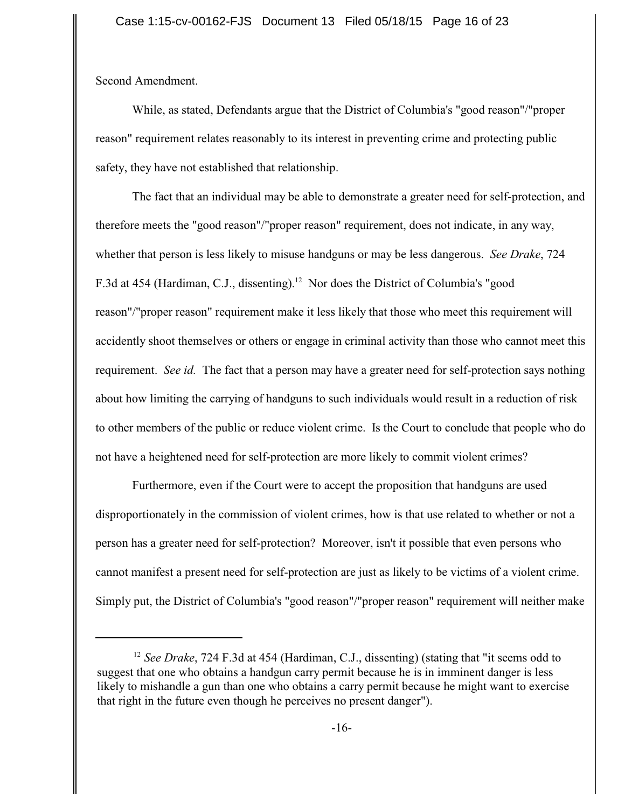Second Amendment.

While, as stated, Defendants argue that the District of Columbia's "good reason"/"proper reason" requirement relates reasonably to its interest in preventing crime and protecting public safety, they have not established that relationship.

The fact that an individual may be able to demonstrate a greater need for self-protection, and therefore meets the "good reason"/"proper reason" requirement, does not indicate, in any way, whether that person is less likely to misuse handguns or may be less dangerous. *See Drake*, 724 F.3d at 454 (Hardiman, C.J., dissenting).<sup>12</sup> Nor does the District of Columbia's "good reason"/"proper reason" requirement make it less likely that those who meet this requirement will accidently shoot themselves or others or engage in criminal activity than those who cannot meet this requirement. *See id.* The fact that a person may have a greater need for self-protection says nothing about how limiting the carrying of handguns to such individuals would result in a reduction of risk to other members of the public or reduce violent crime. Is the Court to conclude that people who do not have a heightened need for self-protection are more likely to commit violent crimes?

Furthermore, even if the Court were to accept the proposition that handguns are used disproportionately in the commission of violent crimes, how is that use related to whether or not a person has a greater need for self-protection? Moreover, isn't it possible that even persons who cannot manifest a present need for self-protection are just as likely to be victims of a violent crime. Simply put, the District of Columbia's "good reason"/"proper reason" requirement will neither make

<sup>&</sup>lt;sup>12</sup> See Drake, 724 F.3d at 454 (Hardiman, C.J., dissenting) (stating that "it seems odd to suggest that one who obtains a handgun carry permit because he is in imminent danger is less likely to mishandle a gun than one who obtains a carry permit because he might want to exercise that right in the future even though he perceives no present danger").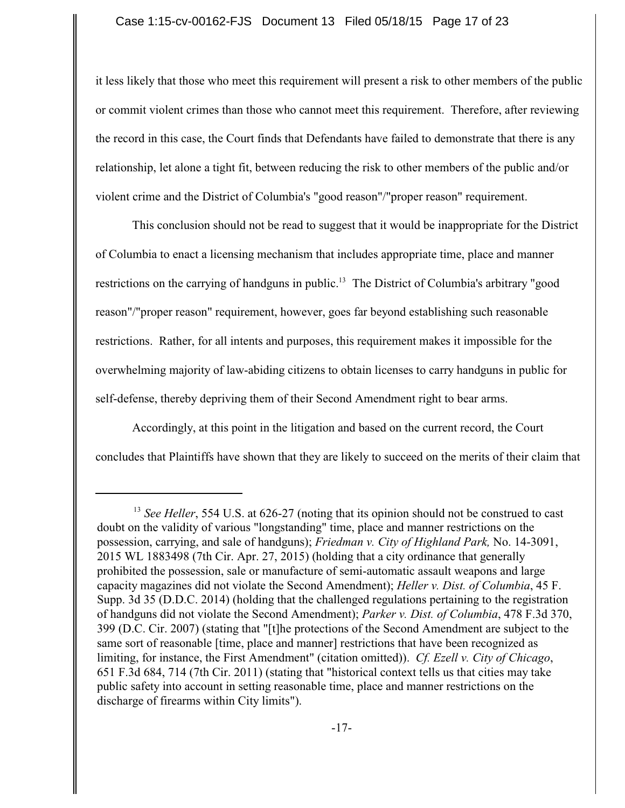it less likely that those who meet this requirement will present a risk to other members of the public or commit violent crimes than those who cannot meet this requirement. Therefore, after reviewing the record in this case, the Court finds that Defendants have failed to demonstrate that there is any relationship, let alone a tight fit, between reducing the risk to other members of the public and/or violent crime and the District of Columbia's "good reason"/"proper reason" requirement.

This conclusion should not be read to suggest that it would be inappropriate for the District of Columbia to enact a licensing mechanism that includes appropriate time, place and manner restrictions on the carrying of handguns in public.<sup>13</sup> The District of Columbia's arbitrary "good reason"/"proper reason" requirement, however, goes far beyond establishing such reasonable restrictions. Rather, for all intents and purposes, this requirement makes it impossible for the overwhelming majority of law-abiding citizens to obtain licenses to carry handguns in public for self-defense, thereby depriving them of their Second Amendment right to bear arms.

Accordingly, at this point in the litigation and based on the current record, the Court concludes that Plaintiffs have shown that they are likely to succeed on the merits of their claim that

<sup>&</sup>lt;sup>13</sup> See Heller, 554 U.S. at 626-27 (noting that its opinion should not be construed to cast doubt on the validity of various "longstanding" time, place and manner restrictions on the possession, carrying, and sale of handguns); *Friedman v. City of Highland Park,* No. 14-3091, 2015 WL 1883498 (7th Cir. Apr. 27, 2015) (holding that a city ordinance that generally prohibited the possession, sale or manufacture of semi-automatic assault weapons and large capacity magazines did not violate the Second Amendment); *Heller v. Dist. of Columbia*, 45 F. Supp. 3d 35 (D.D.C. 2014) (holding that the challenged regulations pertaining to the registration of handguns did not violate the Second Amendment); *Parker v. Dist. of Columbia*, 478 F.3d 370, 399 (D.C. Cir. 2007) (stating that "[t]he protections of the Second Amendment are subject to the same sort of reasonable [time, place and manner] restrictions that have been recognized as limiting, for instance, the First Amendment" (citation omitted)). *Cf. Ezell v. City of Chicago*, 651 F.3d 684, 714 (7th Cir. 2011) (stating that "historical context tells us that cities may take public safety into account in setting reasonable time, place and manner restrictions on the discharge of firearms within City limits").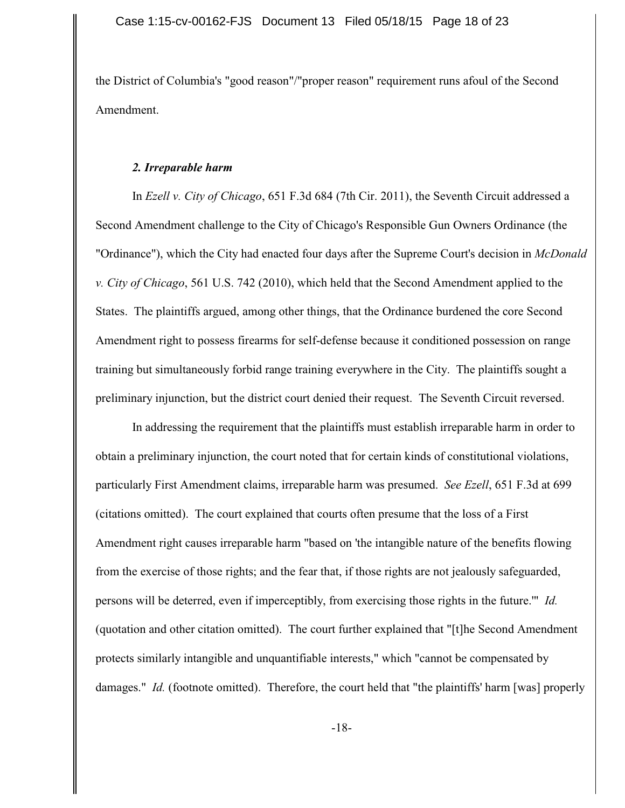the District of Columbia's "good reason"/"proper reason" requirement runs afoul of the Second Amendment.

#### *2. Irreparable harm*

In *Ezell v. City of Chicago*, 651 F.3d 684 (7th Cir. 2011), the Seventh Circuit addressed a Second Amendment challenge to the City of Chicago's Responsible Gun Owners Ordinance (the "Ordinance"), which the City had enacted four days after the Supreme Court's decision in *McDonald v. City of Chicago*, 561 U.S. 742 (2010), which held that the Second Amendment applied to the States. The plaintiffs argued, among other things, that the Ordinance burdened the core Second Amendment right to possess firearms for self-defense because it conditioned possession on range training but simultaneously forbid range training everywhere in the City. The plaintiffs sought a preliminary injunction, but the district court denied their request. The Seventh Circuit reversed.

In addressing the requirement that the plaintiffs must establish irreparable harm in order to obtain a preliminary injunction, the court noted that for certain kinds of constitutional violations, particularly First Amendment claims, irreparable harm was presumed. *See Ezell*, 651 F.3d at 699 (citations omitted). The court explained that courts often presume that the loss of a First Amendment right causes irreparable harm "based on 'the intangible nature of the benefits flowing from the exercise of those rights; and the fear that, if those rights are not jealously safeguarded, persons will be deterred, even if imperceptibly, from exercising those rights in the future.'" *Id.* (quotation and other citation omitted). The court further explained that "[t]he Second Amendment protects similarly intangible and unquantifiable interests," which "cannot be compensated by damages." *Id.* (footnote omitted). Therefore, the court held that "the plaintiffs' harm [was] properly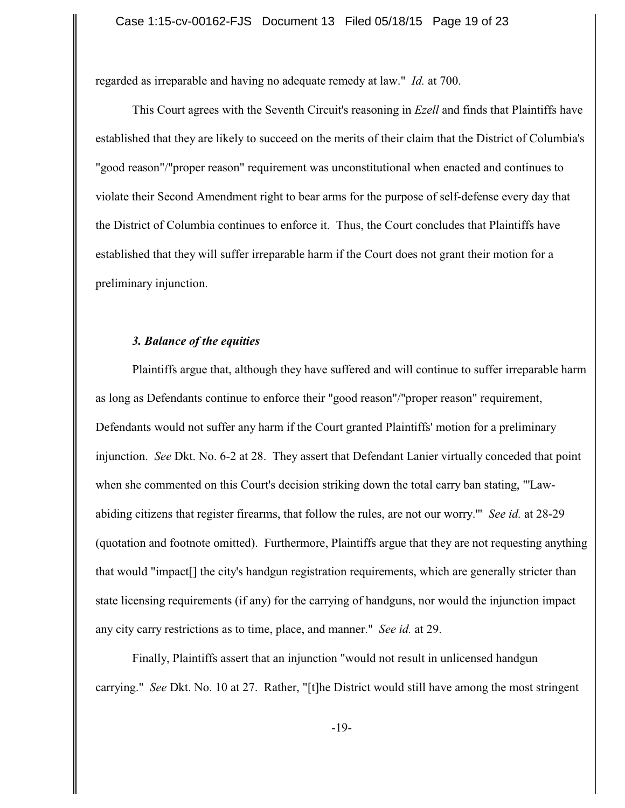regarded as irreparable and having no adequate remedy at law." *Id.* at 700.

This Court agrees with the Seventh Circuit's reasoning in *Ezell* and finds that Plaintiffs have established that they are likely to succeed on the merits of their claim that the District of Columbia's "good reason"/"proper reason" requirement was unconstitutional when enacted and continues to violate their Second Amendment right to bear arms for the purpose of self-defense every day that the District of Columbia continues to enforce it. Thus, the Court concludes that Plaintiffs have established that they will suffer irreparable harm if the Court does not grant their motion for a preliminary injunction.

### *3. Balance of the equities*

Plaintiffs argue that, although they have suffered and will continue to suffer irreparable harm as long as Defendants continue to enforce their "good reason"/"proper reason" requirement, Defendants would not suffer any harm if the Court granted Plaintiffs' motion for a preliminary injunction. *See* Dkt. No. 6-2 at 28. They assert that Defendant Lanier virtually conceded that point when she commented on this Court's decision striking down the total carry ban stating, "'Lawabiding citizens that register firearms, that follow the rules, are not our worry.'" *See id.* at 28-29 (quotation and footnote omitted). Furthermore, Plaintiffs argue that they are not requesting anything that would "impact[] the city's handgun registration requirements, which are generally stricter than state licensing requirements (if any) for the carrying of handguns, nor would the injunction impact any city carry restrictions as to time, place, and manner." *See id.* at 29.

Finally, Plaintiffs assert that an injunction "would not result in unlicensed handgun carrying." *See* Dkt. No. 10 at 27. Rather, "[t]he District would still have among the most stringent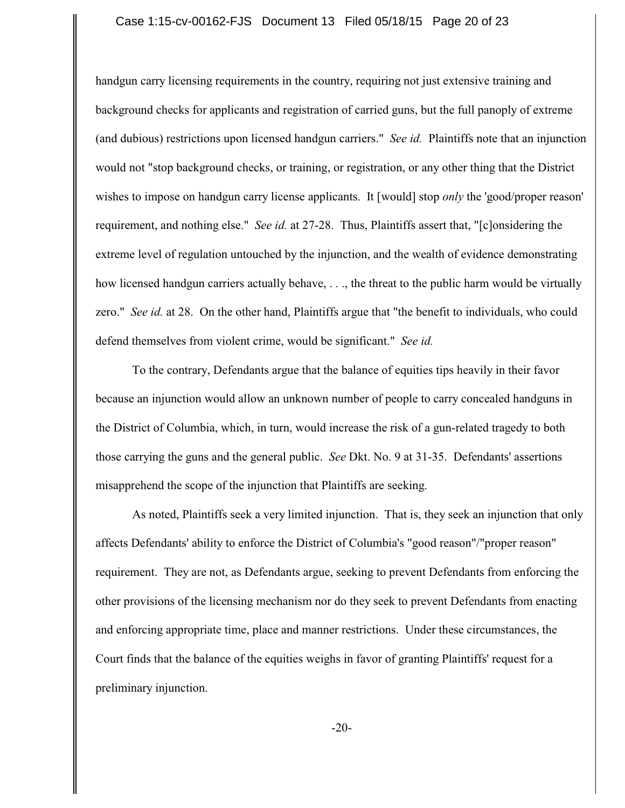#### Case 1:15-cv-00162-FJS Document 13 Filed 05/18/15 Page 20 of 23

handgun carry licensing requirements in the country, requiring not just extensive training and background checks for applicants and registration of carried guns, but the full panoply of extreme (and dubious) restrictions upon licensed handgun carriers." *See id.* Plaintiffs note that an injunction would not "stop background checks, or training, or registration, or any other thing that the District wishes to impose on handgun carry license applicants. It [would] stop *only* the 'good/proper reason' requirement, and nothing else." *See id.* at 27-28. Thus, Plaintiffs assert that, "[c]onsidering the extreme level of regulation untouched by the injunction, and the wealth of evidence demonstrating how licensed handgun carriers actually behave, ..., the threat to the public harm would be virtually zero." *See id.* at 28. On the other hand, Plaintiffs argue that "the benefit to individuals, who could defend themselves from violent crime, would be significant." *See id.*

To the contrary, Defendants argue that the balance of equities tips heavily in their favor because an injunction would allow an unknown number of people to carry concealed handguns in the District of Columbia, which, in turn, would increase the risk of a gun-related tragedy to both those carrying the guns and the general public. *See* Dkt. No. 9 at 31-35. Defendants' assertions misapprehend the scope of the injunction that Plaintiffs are seeking.

As noted, Plaintiffs seek a very limited injunction. That is, they seek an injunction that only affects Defendants' ability to enforce the District of Columbia's "good reason"/"proper reason" requirement. They are not, as Defendants argue, seeking to prevent Defendants from enforcing the other provisions of the licensing mechanism nor do they seek to prevent Defendants from enacting and enforcing appropriate time, place and manner restrictions. Under these circumstances, the Court finds that the balance of the equities weighs in favor of granting Plaintiffs' request for a preliminary injunction.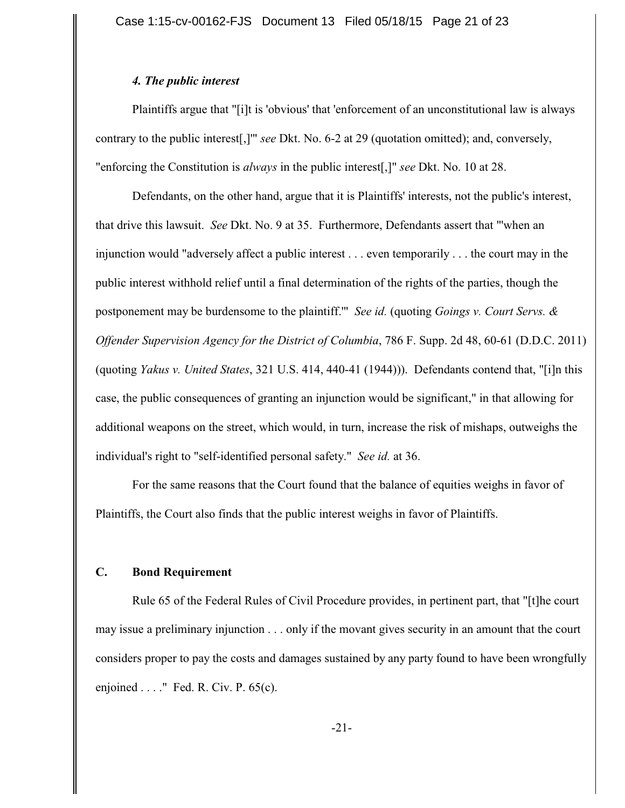### *4. The public interest*

Plaintiffs argue that "[i]t is 'obvious' that 'enforcement of an unconstitutional law is always contrary to the public interest[,]'" *see* Dkt. No. 6-2 at 29 (quotation omitted); and, conversely, "enforcing the Constitution is *always* in the public interest[,]" *see* Dkt. No. 10 at 28.

Defendants, on the other hand, argue that it is Plaintiffs' interests, not the public's interest, that drive this lawsuit. *See* Dkt. No. 9 at 35. Furthermore, Defendants assert that "'when an injunction would "adversely affect a public interest . . . even temporarily . . . the court may in the public interest withhold relief until a final determination of the rights of the parties, though the postponement may be burdensome to the plaintiff.'" *See id.* (quoting *Goings v. Court Servs. & Offender Supervision Agency for the District of Columbia*, 786 F. Supp. 2d 48, 60-61 (D.D.C. 2011) (quoting *Yakus v. United States*, 321 U.S. 414, 440-41 (1944))). Defendants contend that, "[i]n this case, the public consequences of granting an injunction would be significant," in that allowing for additional weapons on the street, which would, in turn, increase the risk of mishaps, outweighs the individual's right to "self-identified personal safety." *See id.* at 36.

For the same reasons that the Court found that the balance of equities weighs in favor of Plaintiffs, the Court also finds that the public interest weighs in favor of Plaintiffs.

# **C. Bond Requirement**

Rule 65 of the Federal Rules of Civil Procedure provides, in pertinent part, that "[t]he court may issue a preliminary injunction . . . only if the movant gives security in an amount that the court considers proper to pay the costs and damages sustained by any party found to have been wrongfully enjoined . . . ." Fed. R. Civ. P. 65(c).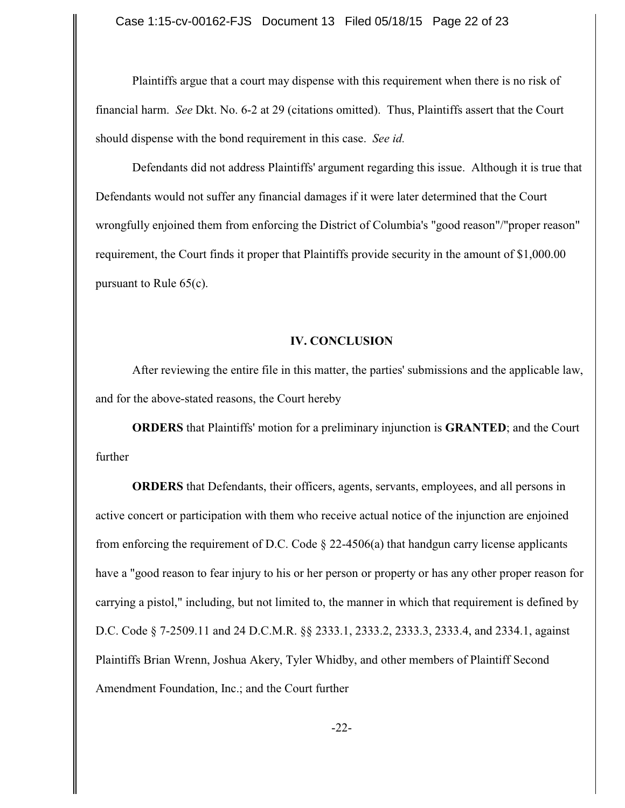Plaintiffs argue that a court may dispense with this requirement when there is no risk of financial harm. *See* Dkt. No. 6-2 at 29 (citations omitted). Thus, Plaintiffs assert that the Court should dispense with the bond requirement in this case. *See id.*

Defendants did not address Plaintiffs' argument regarding this issue. Although it is true that Defendants would not suffer any financial damages if it were later determined that the Court wrongfully enjoined them from enforcing the District of Columbia's "good reason"/"proper reason" requirement, the Court finds it proper that Plaintiffs provide security in the amount of \$1,000.00 pursuant to Rule 65(c).

#### **IV. CONCLUSION**

After reviewing the entire file in this matter, the parties' submissions and the applicable law, and for the above-stated reasons, the Court hereby

**ORDERS** that Plaintiffs' motion for a preliminary injunction is **GRANTED**; and the Court further

**ORDERS** that Defendants, their officers, agents, servants, employees, and all persons in active concert or participation with them who receive actual notice of the injunction are enjoined from enforcing the requirement of D.C. Code § 22-4506(a) that handgun carry license applicants have a "good reason to fear injury to his or her person or property or has any other proper reason for carrying a pistol," including, but not limited to, the manner in which that requirement is defined by D.C. Code § 7-2509.11 and 24 D.C.M.R. §§ 2333.1, 2333.2, 2333.3, 2333.4, and 2334.1, against Plaintiffs Brian Wrenn, Joshua Akery, Tyler Whidby, and other members of Plaintiff Second Amendment Foundation, Inc.; and the Court further